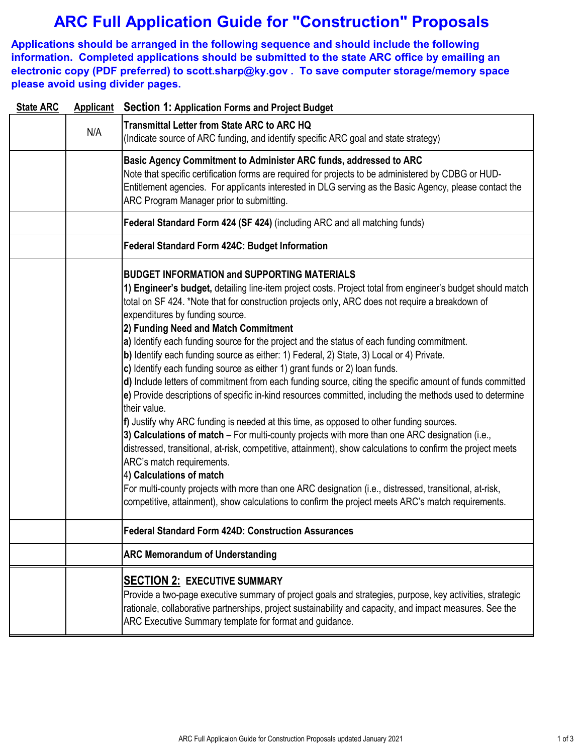# **ARC Full Application Guide for "Construction" Proposals**

**Applications should be arranged in the following sequence and should include the following information. Completed applications should be submitted to the state ARC office by emailing an electronic copy (PDF preferred) to scott.sharp@ky.gov . To save computer storage/memory space please avoid using divider pages.**

| <b>State ARC</b> |     | <b>Applicant</b> Section 1: Application Forms and Project Budget                                                                                                                                                                                                                                                                                                                                                                                                                                                                                                                                                                                                                                                                                                                                                                                                                                                                                                                                                                                                                                                                                                                                                                                                                                                                                                                                                                                    |
|------------------|-----|-----------------------------------------------------------------------------------------------------------------------------------------------------------------------------------------------------------------------------------------------------------------------------------------------------------------------------------------------------------------------------------------------------------------------------------------------------------------------------------------------------------------------------------------------------------------------------------------------------------------------------------------------------------------------------------------------------------------------------------------------------------------------------------------------------------------------------------------------------------------------------------------------------------------------------------------------------------------------------------------------------------------------------------------------------------------------------------------------------------------------------------------------------------------------------------------------------------------------------------------------------------------------------------------------------------------------------------------------------------------------------------------------------------------------------------------------------|
|                  | N/A | <b>Transmittal Letter from State ARC to ARC HQ</b><br>(Indicate source of ARC funding, and identify specific ARC goal and state strategy)                                                                                                                                                                                                                                                                                                                                                                                                                                                                                                                                                                                                                                                                                                                                                                                                                                                                                                                                                                                                                                                                                                                                                                                                                                                                                                           |
|                  |     | Basic Agency Commitment to Administer ARC funds, addressed to ARC<br>Note that specific certification forms are required for projects to be administered by CDBG or HUD-<br>Entitlement agencies. For applicants interested in DLG serving as the Basic Agency, please contact the<br>ARC Program Manager prior to submitting.                                                                                                                                                                                                                                                                                                                                                                                                                                                                                                                                                                                                                                                                                                                                                                                                                                                                                                                                                                                                                                                                                                                      |
|                  |     | Federal Standard Form 424 (SF 424) (including ARC and all matching funds)                                                                                                                                                                                                                                                                                                                                                                                                                                                                                                                                                                                                                                                                                                                                                                                                                                                                                                                                                                                                                                                                                                                                                                                                                                                                                                                                                                           |
|                  |     | Federal Standard Form 424C: Budget Information                                                                                                                                                                                                                                                                                                                                                                                                                                                                                                                                                                                                                                                                                                                                                                                                                                                                                                                                                                                                                                                                                                                                                                                                                                                                                                                                                                                                      |
|                  |     | <b>BUDGET INFORMATION and SUPPORTING MATERIALS</b><br>1) Engineer's budget, detailing line-item project costs. Project total from engineer's budget should match<br>total on SF 424. *Note that for construction projects only, ARC does not require a breakdown of<br>expenditures by funding source.<br>2) Funding Need and Match Commitment<br>a) Identify each funding source for the project and the status of each funding commitment.<br>b) Identify each funding source as either: 1) Federal, 2) State, 3) Local or 4) Private.<br>c) Identify each funding source as either 1) grant funds or 2) loan funds.<br>d) Include letters of commitment from each funding source, citing the specific amount of funds committed<br>e) Provide descriptions of specific in-kind resources committed, including the methods used to determine<br>their value.<br>f) Justify why ARC funding is needed at this time, as opposed to other funding sources.<br>3) Calculations of match - For multi-county projects with more than one ARC designation (i.e.,<br>distressed, transitional, at-risk, competitive, attainment), show calculations to confirm the project meets<br>ARC's match requirements.<br>4) Calculations of match<br>For multi-county projects with more than one ARC designation (i.e., distressed, transitional, at-risk,<br>competitive, attainment), show calculations to confirm the project meets ARC's match requirements. |
|                  |     | <b>Federal Standard Form 424D: Construction Assurances</b>                                                                                                                                                                                                                                                                                                                                                                                                                                                                                                                                                                                                                                                                                                                                                                                                                                                                                                                                                                                                                                                                                                                                                                                                                                                                                                                                                                                          |
|                  |     | <b>ARC Memorandum of Understanding</b>                                                                                                                                                                                                                                                                                                                                                                                                                                                                                                                                                                                                                                                                                                                                                                                                                                                                                                                                                                                                                                                                                                                                                                                                                                                                                                                                                                                                              |
|                  |     | <b>SECTION 2: EXECUTIVE SUMMARY</b><br>Provide a two-page executive summary of project goals and strategies, purpose, key activities, strategic<br>rationale, collaborative partnerships, project sustainability and capacity, and impact measures. See the<br>ARC Executive Summary template for format and guidance.                                                                                                                                                                                                                                                                                                                                                                                                                                                                                                                                                                                                                                                                                                                                                                                                                                                                                                                                                                                                                                                                                                                              |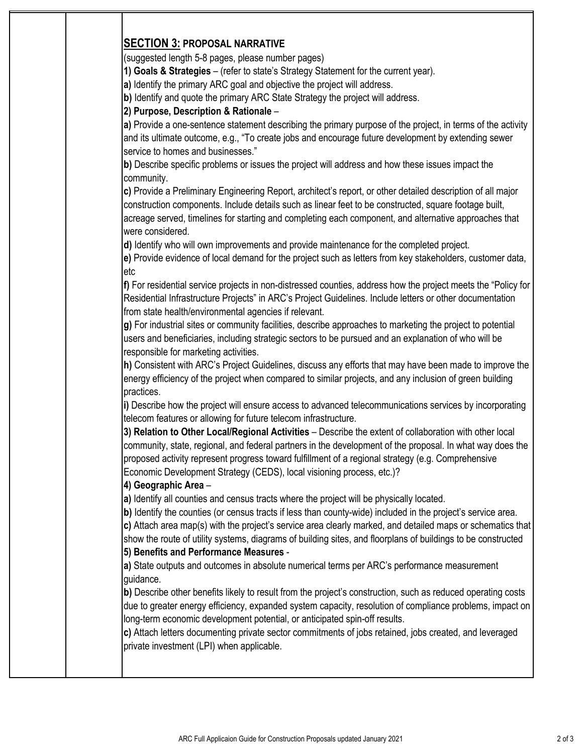# **SECTION 3: PROPOSAL NARRATIVE**

(suggested length 5-8 pages, please number pages)

**1) Goals & Strategies** – (refer to state's Strategy Statement for the current year).

**a)** Identify the primary ARC goal and objective the project will address.

**b)** Identify and quote the primary ARC State Strategy the project will address.

## **2) Purpose, Description & Rationale** –

**a)** Provide a one-sentence statement describing the primary purpose of the project, in terms of the activity and its ultimate outcome, e.g., "To create jobs and encourage future development by extending sewer service to homes and businesses."

**b)** Describe specific problems or issues the project will address and how these issues impact the community.

**c)** Provide a Preliminary Engineering Report, architect's report, or other detailed description of all major construction components. Include details such as linear feet to be constructed, square footage built, acreage served, timelines for starting and completing each component, and alternative approaches that were considered.

**d)** Identify who will own improvements and provide maintenance for the completed project.

**e)** Provide evidence of local demand for the project such as letters from key stakeholders, customer data, etc

**f)** For residential service projects in non-distressed counties, address how the project meets the "Policy for Residential Infrastructure Projects" in ARC's Project Guidelines. Include letters or other documentation from state health/environmental agencies if relevant.

**g)** For industrial sites or community facilities, describe approaches to marketing the project to potential users and beneficiaries, including strategic sectors to be pursued and an explanation of who will be responsible for marketing activities.

**h)** Consistent with ARC's Project Guidelines, discuss any efforts that may have been made to improve the energy efficiency of the project when compared to similar projects, and any inclusion of green building practices.

**i)** Describe how the project will ensure access to advanced telecommunications services by incorporating telecom features or allowing for future telecom infrastructure.

**3) Relation to Other Local/Regional Activities** – Describe the extent of collaboration with other local community, state, regional, and federal partners in the development of the proposal. In what way does the proposed activity represent progress toward fulfillment of a regional strategy (e.g. Comprehensive Economic Development Strategy (CEDS), local visioning process, etc.)?

# **4) Geographic Area** –

**a)** Identify all counties and census tracts where the project will be physically located.

**b**) Identify the counties (or census tracts if less than county-wide) included in the project's service area.

**c)** Attach area map(s) with the project's service area clearly marked, and detailed maps or schematics that show the route of utility systems, diagrams of building sites, and floorplans of buildings to be constructed

# **5) Benefits and Performance Measures** -

**a)** State outputs and outcomes in absolute numerical terms per ARC's performance measurement guidance.

**b)** Describe other benefits likely to result from the project's construction, such as reduced operating costs due to greater energy efficiency, expanded system capacity, resolution of compliance problems, impact on long-term economic development potential, or anticipated spin-off results.

**c)** Attach letters documenting private sector commitments of jobs retained, jobs created, and leveraged private investment (LPI) when applicable.